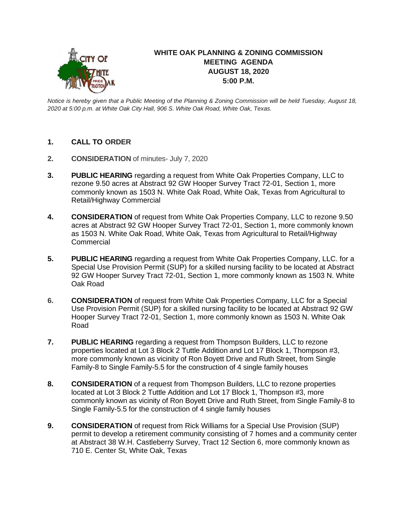

## **WHITE OAK PLANNING & ZONING COMMISSION MEETING AGENDA AUGUST 18, 2020 5:00 P.M.**

*Notice is hereby given that a Public Meeting of the Planning & Zoning Commission will be held Tuesday, August 18, 2020 at 5:00 p.m. at White Oak City Hall, 906 S. White Oak Road, White Oak, Texas.*

- **1. CALL TO ORDER**
- **2. CONSIDERATION** of minutes- July 7, 2020
- **3. PUBLIC HEARING** regarding a request from White Oak Properties Company, LLC to rezone 9.50 acres at Abstract 92 GW Hooper Survey Tract 72-01, Section 1, more commonly known as 1503 N. White Oak Road, White Oak, Texas from Agricultural to Retail/Highway Commercial
- **4. CONSIDERATION** of request from White Oak Properties Company, LLC to rezone 9.50 acres at Abstract 92 GW Hooper Survey Tract 72-01, Section 1, more commonly known as 1503 N. White Oak Road, White Oak, Texas from Agricultural to Retail/Highway **Commercial**
- **5. PUBLIC HEARING** regarding a request from White Oak Properties Company, LLC. for a Special Use Provision Permit (SUP) for a skilled nursing facility to be located at Abstract 92 GW Hooper Survey Tract 72-01, Section 1, more commonly known as 1503 N. White Oak Road
- **6. CONSIDERATION** of request from White Oak Properties Company, LLC for a Special Use Provision Permit (SUP) for a skilled nursing facility to be located at Abstract 92 GW Hooper Survey Tract 72-01, Section 1, more commonly known as 1503 N. White Oak Road
- **7. PUBLIC HEARING** regarding a request from Thompson Builders, LLC to rezone properties located at Lot 3 Block 2 Tuttle Addition and Lot 17 Block 1, Thompson #3, more commonly known as vicinity of Ron Boyett Drive and Ruth Street, from Single Family-8 to Single Family-5.5 for the construction of 4 single family houses
- **8. CONSIDERATION** of a request from Thompson Builders, LLC to rezone properties located at Lot 3 Block 2 Tuttle Addition and Lot 17 Block 1, Thompson #3, more commonly known as vicinity of Ron Boyett Drive and Ruth Street, from Single Family-8 to Single Family-5.5 for the construction of 4 single family houses
- **9. CONSIDERATION** of request from Rick Williams for a Special Use Provision (SUP) permit to develop a retirement community consisting of 7 homes and a community center at Abstract 38 W.H. Castleberry Survey, Tract 12 Section 6, more commonly known as 710 E. Center St, White Oak, Texas